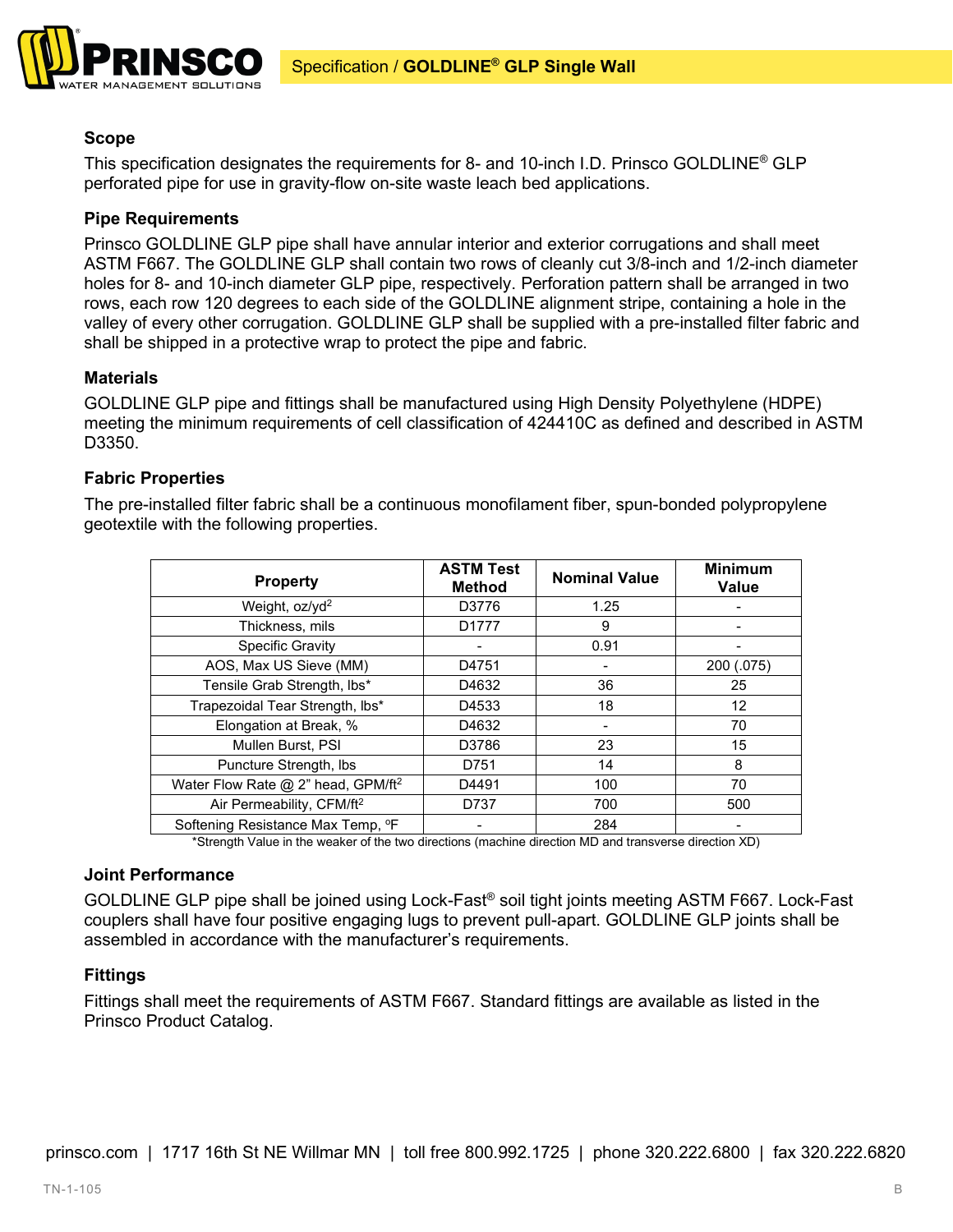

# **Scope**

This specification designates the requirements for 8- and 10-inch I.D. Prinsco GOLDLINE® GLP perforated pipe for use in gravity-flow on-site waste leach bed applications.

## **Pipe Requirements**

Prinsco GOLDLINE GLP pipe shall have annular interior and exterior corrugations and shall meet ASTM F667. The GOLDLINE GLP shall contain two rows of cleanly cut 3/8-inch and 1/2-inch diameter holes for 8- and 10-inch diameter GLP pipe, respectively. Perforation pattern shall be arranged in two rows, each row 120 degrees to each side of the GOLDLINE alignment stripe, containing a hole in the valley of every other corrugation. GOLDLINE GLP shall be supplied with a pre-installed filter fabric and shall be shipped in a protective wrap to protect the pipe and fabric.

### **Materials**

GOLDLINE GLP pipe and fittings shall be manufactured using High Density Polyethylene (HDPE) meeting the minimum requirements of cell classification of 424410C as defined and described in ASTM D3350.

### **Fabric Properties**

The pre-installed filter fabric shall be a continuous monofilament fiber, spun-bonded polypropylene geotextile with the following properties.

| <b>Property</b>                                | <b>ASTM Test</b><br><b>Method</b> | <b>Nominal Value</b> | <b>Minimum</b><br><b>Value</b> |
|------------------------------------------------|-----------------------------------|----------------------|--------------------------------|
| Weight, oz/yd <sup>2</sup>                     | D3776                             | 1.25                 |                                |
| Thickness, mils                                | D <sub>1777</sub>                 | 9                    |                                |
| <b>Specific Gravity</b>                        |                                   | 0.91                 |                                |
| AOS, Max US Sieve (MM)                         | D4751                             |                      | 200 (.075)                     |
| Tensile Grab Strength, Ibs*                    | D4632                             | 36                   | 25                             |
| Trapezoidal Tear Strength, Ibs*                | D4533                             | 18                   | 12                             |
| Elongation at Break, %                         | D4632                             |                      | 70                             |
| Mullen Burst, PSI                              | D3786                             | 23                   | 15                             |
| Puncture Strength, Ibs                         | D751                              | 14                   | 8                              |
| Water Flow Rate @ 2" head, GPM/ft <sup>2</sup> | D4491                             | 100                  | 70                             |
| Air Permeability, CFM/ft <sup>2</sup>          | D737                              | 700                  | 500                            |
| Softening Resistance Max Temp, °F              |                                   | 284                  |                                |

\*Strength Value in the weaker of the two directions (machine direction MD and transverse direction XD)

#### **Joint Performance**

GOLDLINE GLP pipe shall be joined using Lock-Fast® soil tight joints meeting ASTM F667. Lock-Fast couplers shall have four positive engaging lugs to prevent pull-apart. GOLDLINE GLP joints shall be assembled in accordance with the manufacturer's requirements.

## **Fittings**

Fittings shall meet the requirements of ASTM F667. Standard fittings are available as listed in the Prinsco Product Catalog.

prinsco.com | 1717 16th St NE Willmar MN | toll free 800.992.1725 | phone 320.222.6800 | fax 320.222.6820